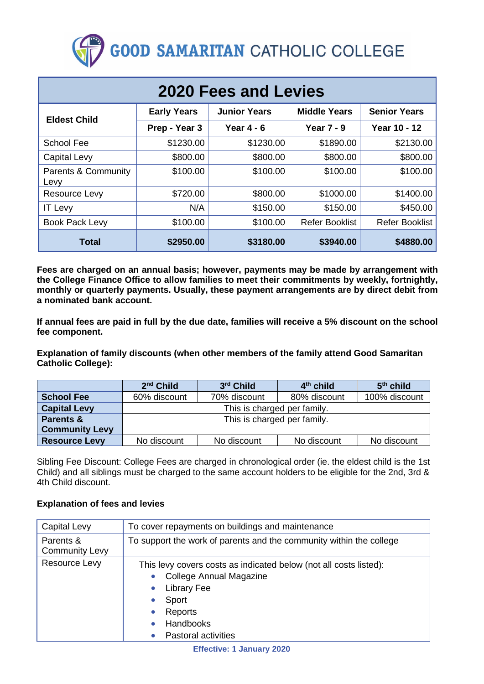# **GOOD SAMARITAN CATHOLIC COLLEGE**

| <b>2020 Fees and Levies</b> |                    |                     |                       |                       |  |  |
|-----------------------------|--------------------|---------------------|-----------------------|-----------------------|--|--|
| <b>Eldest Child</b>         | <b>Early Years</b> | <b>Junior Years</b> | <b>Middle Years</b>   | <b>Senior Years</b>   |  |  |
|                             | Prep - Year 3      | Year $4 - 6$        | Year $7 - 9$          | Year 10 - 12          |  |  |
| <b>School Fee</b>           | \$1230.00          | \$1230.00           | \$1890.00             | \$2130.00             |  |  |
| <b>Capital Levy</b>         | \$800.00           | \$800.00            | \$800.00              | \$800.00              |  |  |
| Parents & Community<br>Levy | \$100.00           | \$100.00            | \$100.00              | \$100.00              |  |  |
| Resource Levy               | \$720.00           | \$800.00            | \$1000.00             | \$1400.00             |  |  |
| <b>IT Levy</b>              | N/A                | \$150.00            | \$150.00              | \$450.00              |  |  |
| Book Pack Levy              | \$100.00           | \$100.00            | <b>Refer Booklist</b> | <b>Refer Booklist</b> |  |  |
| <b>Total</b>                | \$2950.00          | \$3180.00           | \$3940.00             | \$4880.00             |  |  |

**Fees are charged on an annual basis; however, payments may be made by arrangement with the College Finance Office to allow families to meet their commitments by weekly, fortnightly, monthly or quarterly payments. Usually, these payment arrangements are by direct debit from a nominated bank account.**

**If annual fees are paid in full by the due date, families will receive a 5% discount on the school fee component.**

**Explanation of family discounts (when other members of the family attend Good Samaritan Catholic College):**

|                       | $2nd$ Child                 | 3rd Child    | $4th$ child  | $5th$ child   |
|-----------------------|-----------------------------|--------------|--------------|---------------|
| <b>School Fee</b>     | 60% discount                | 70% discount | 80% discount | 100% discount |
| <b>Capital Levy</b>   | This is charged per family. |              |              |               |
| <b>Parents &amp;</b>  | This is charged per family. |              |              |               |
| <b>Community Levy</b> |                             |              |              |               |
| <b>Resource Levy</b>  | No discount                 | No discount  | No discount  | No discount   |

Sibling Fee Discount: College Fees are charged in chronological order (ie. the eldest child is the 1st Child) and all siblings must be charged to the same account holders to be eligible for the 2nd, 3rd & 4th Child discount.

#### **Explanation of fees and levies**

| <b>Capital Levy</b>                | To cover repayments on buildings and maintenance                                                                                                                                         |  |  |
|------------------------------------|------------------------------------------------------------------------------------------------------------------------------------------------------------------------------------------|--|--|
| Parents &<br><b>Community Levy</b> | To support the work of parents and the community within the college                                                                                                                      |  |  |
| Resource Levy                      | This levy covers costs as indicated below (not all costs listed):<br><b>College Annual Magazine</b><br><b>Library Fee</b><br>Sport<br>Reports<br>Handbooks<br><b>Pastoral activities</b> |  |  |

**Effective: 1 January 2020**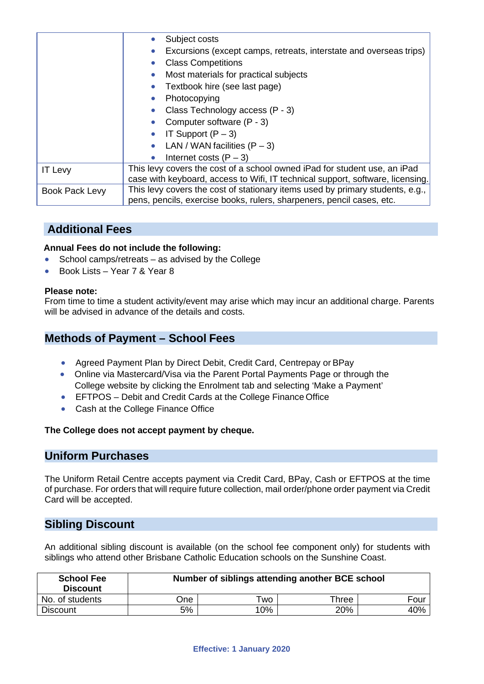|                | Subject costs                                                                  |  |  |  |
|----------------|--------------------------------------------------------------------------------|--|--|--|
|                | Excursions (except camps, retreats, interstate and overseas trips)             |  |  |  |
|                | <b>Class Competitions</b>                                                      |  |  |  |
|                | Most materials for practical subjects                                          |  |  |  |
|                | Textbook hire (see last page)                                                  |  |  |  |
|                | Photocopying                                                                   |  |  |  |
|                | Class Technology access (P - 3)                                                |  |  |  |
|                | Computer software (P - 3)                                                      |  |  |  |
|                | IT Support $(P - 3)$                                                           |  |  |  |
|                | LAN / WAN facilities $(P - 3)$                                                 |  |  |  |
|                | Internet costs $(P - 3)$                                                       |  |  |  |
| <b>IT Levy</b> | This levy covers the cost of a school owned iPad for student use, an iPad      |  |  |  |
|                | case with keyboard, access to Wifi, IT technical support, software, licensing. |  |  |  |
| Book Pack Levy | This levy covers the cost of stationary items used by primary students, e.g.,  |  |  |  |
|                | pens, pencils, exercise books, rulers, sharpeners, pencil cases, etc.          |  |  |  |

# **Additional Fees**

#### **Annual Fees do not include the following:**

- School camps/retreats as advised by the College
- Book Lists Year 7 & Year 8

#### **Please note:**

From time to time a student activity/event may arise which may incur an additional charge. Parents will be advised in advance of the details and costs.

# **Methods of Payment – School Fees**

- Agreed Payment Plan by Direct Debit, Credit Card, Centrepay or BPay
- Online via Mastercard/Visa via the Parent Portal Payments Page or through the College website by clicking the Enrolment tab and selecting 'Make a Payment'
- EFTPOS Debit and Credit Cards at the College Finance Office
- Cash at the College Finance Office

#### **The College does not accept payment by cheque.**

#### **Uniform Purchases**

The Uniform Retail Centre accepts payment via Credit Card, BPay, Cash or EFTPOS at the time of purchase. For orders that will require future collection, mail order/phone order payment via Credit Card will be accepted.

## **Sibling Discount**

An additional sibling discount is available (on the school fee component only) for students with siblings who attend other Brisbane Catholic Education schools on the Sunshine Coast.

| <b>School Fee</b><br><b>Discount</b> | Number of siblings attending another BCE school |     |       |      |  |
|--------------------------------------|-------------------------------------------------|-----|-------|------|--|
| No. of students                      | <b>One</b>                                      | ™o  | Three | Four |  |
| <b>Discount</b>                      | 5%                                              | 10% | 20%   | 40%  |  |